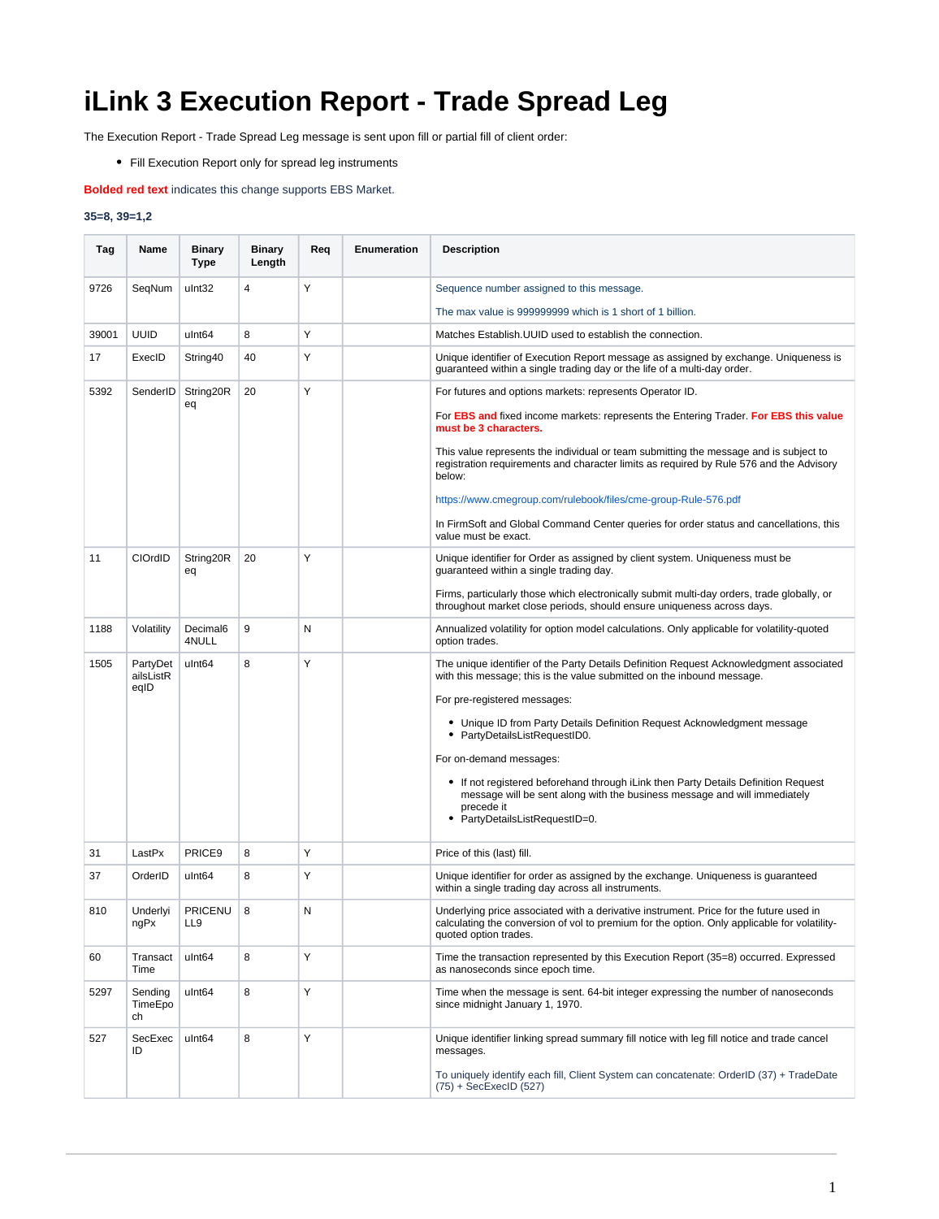## **iLink 3 Execution Report - Trade Spread Leg**

The Execution Report - Trade Spread Leg message is sent upon fill or partial fill of client order:

Fill Execution Report only for spread leg instruments

**Bolded red text** indicates this change supports EBS Market.

## **35=8, 39=1,2**

| Tag   | Name                          | <b>Binary</b><br>Type         | <b>Binary</b><br>Length | Req | <b>Enumeration</b> | <b>Description</b>                                                                                                                                                                                                                                                                                                                                                                                                                                                                                                                                         |
|-------|-------------------------------|-------------------------------|-------------------------|-----|--------------------|------------------------------------------------------------------------------------------------------------------------------------------------------------------------------------------------------------------------------------------------------------------------------------------------------------------------------------------------------------------------------------------------------------------------------------------------------------------------------------------------------------------------------------------------------------|
| 9726  | SeqNum                        | ulnt32                        | 4                       | Υ   |                    | Sequence number assigned to this message.                                                                                                                                                                                                                                                                                                                                                                                                                                                                                                                  |
|       |                               |                               |                         |     |                    | The max value is 999999999 which is 1 short of 1 billion.                                                                                                                                                                                                                                                                                                                                                                                                                                                                                                  |
| 39001 | <b>UUID</b>                   | ulnt <sub>64</sub>            | 8                       | Υ   |                    | Matches Establish. UUID used to establish the connection.                                                                                                                                                                                                                                                                                                                                                                                                                                                                                                  |
| 17    | ExecID                        | String40                      | 40                      | Y   |                    | Unique identifier of Execution Report message as assigned by exchange. Uniqueness is<br>guaranteed within a single trading day or the life of a multi-day order.                                                                                                                                                                                                                                                                                                                                                                                           |
| 5392  |                               | SenderID   String20R<br>eq    | 20                      | Υ   |                    | For futures and options markets: represents Operator ID.<br>For EBS and fixed income markets: represents the Entering Trader. For EBS this value<br>must be 3 characters.<br>This value represents the individual or team submitting the message and is subject to<br>registration requirements and character limits as required by Rule 576 and the Advisory<br>below:<br>https://www.cmegroup.com/rulebook/files/cme-group-Rule-576.pdf                                                                                                                  |
|       |                               |                               |                         |     |                    | In FirmSoft and Global Command Center queries for order status and cancellations, this<br>value must be exact.                                                                                                                                                                                                                                                                                                                                                                                                                                             |
| 11    | CIOrdID                       | String20R<br>eq               | 20                      | Y   |                    | Unique identifier for Order as assigned by client system. Uniqueness must be<br>guaranteed within a single trading day.<br>Firms, particularly those which electronically submit multi-day orders, trade globally, or<br>throughout market close periods, should ensure uniqueness across days.                                                                                                                                                                                                                                                            |
| 1188  | Volatility                    | Decimal <sub>6</sub><br>4NULL | 9                       | N   |                    | Annualized volatility for option model calculations. Only applicable for volatility-quoted<br>option trades.                                                                                                                                                                                                                                                                                                                                                                                                                                               |
| 1505  | PartyDet<br>ailsListR<br>eqID | ulnt <sub>64</sub>            | 8                       | Υ   |                    | The unique identifier of the Party Details Definition Request Acknowledgment associated<br>with this message; this is the value submitted on the inbound message.<br>For pre-registered messages:<br>• Unique ID from Party Details Definition Request Acknowledgment message<br>PartyDetailsListRequestID0.<br>For on-demand messages:<br>• If not registered beforehand through iLink then Party Details Definition Request<br>message will be sent along with the business message and will immediately<br>precede it<br>• PartyDetailsListRequestID=0. |
| 31    | LastPx                        | PRICE9                        | 8                       | Υ   |                    | Price of this (last) fill.                                                                                                                                                                                                                                                                                                                                                                                                                                                                                                                                 |
| 37    | OrderID                       | ulnt <sub>64</sub>            | 8                       | Υ   |                    | Unique identifier for order as assigned by the exchange. Uniqueness is guaranteed<br>within a single trading day across all instruments.                                                                                                                                                                                                                                                                                                                                                                                                                   |
| 810   | Underlyi<br>nqPx              | <b>PRICENU</b><br>LL9         | 8                       | N   |                    | Underlying price associated with a derivative instrument. Price for the future used in<br>calculating the conversion of vol to premium for the option. Only applicable for volatility-<br>quoted option trades.                                                                                                                                                                                                                                                                                                                                            |
| 60    | Transact<br>Time              | ulnt <sub>64</sub>            | 8                       | Υ   |                    | Time the transaction represented by this Execution Report (35=8) occurred. Expressed<br>as nanoseconds since epoch time.                                                                                                                                                                                                                                                                                                                                                                                                                                   |
| 5297  | Sending<br>TimeEpo<br>ch      | ulnt <sub>64</sub>            | 8                       | Υ   |                    | Time when the message is sent. 64-bit integer expressing the number of nanoseconds<br>since midnight January 1, 1970.                                                                                                                                                                                                                                                                                                                                                                                                                                      |
| 527   | SecExec<br>ID                 | ulnt <sub>64</sub>            | 8                       | Υ   |                    | Unique identifier linking spread summary fill notice with leg fill notice and trade cancel<br>messages.<br>To uniquely identify each fill, Client System can concatenate: OrderID (37) + TradeDate<br>$(75) + SecExecID (527)$                                                                                                                                                                                                                                                                                                                             |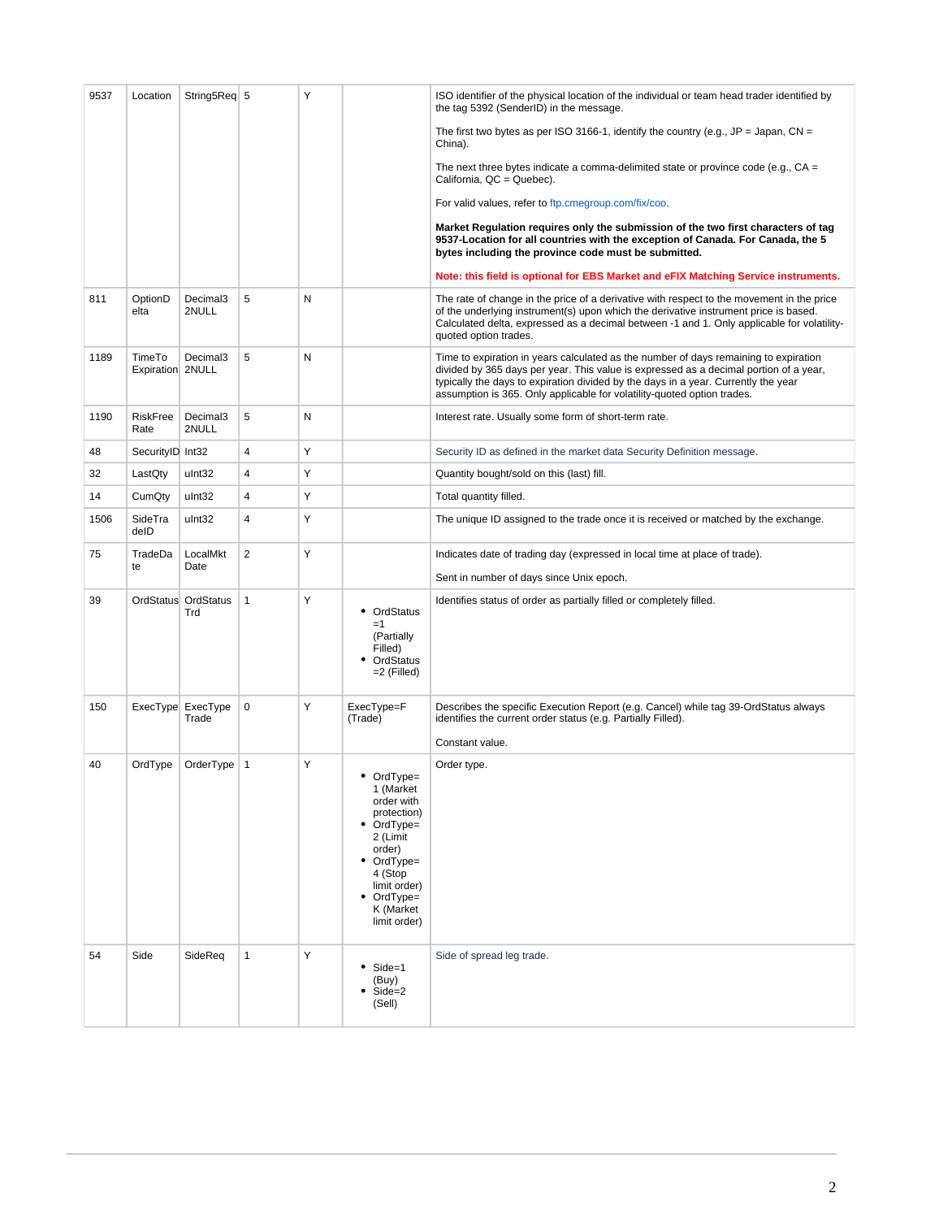| 9537 | Location                   | String5Req 5                  |                | Υ |                                                                                                                                                                                      | ISO identifier of the physical location of the individual or team head trader identified by<br>the tag 5392 (SenderID) in the message.                                                                                                                                                                                                         |
|------|----------------------------|-------------------------------|----------------|---|--------------------------------------------------------------------------------------------------------------------------------------------------------------------------------------|------------------------------------------------------------------------------------------------------------------------------------------------------------------------------------------------------------------------------------------------------------------------------------------------------------------------------------------------|
|      |                            |                               |                |   |                                                                                                                                                                                      | The first two bytes as per ISO 3166-1, identify the country (e.g., JP = Japan, CN =<br>China).                                                                                                                                                                                                                                                 |
|      |                            |                               |                |   |                                                                                                                                                                                      | The next three bytes indicate a comma-delimited state or province code (e.g., $CA =$<br>California, QC = Quebec).                                                                                                                                                                                                                              |
|      |                            |                               |                |   |                                                                                                                                                                                      | For valid values, refer to ftp.cmegroup.com/fix/coo.                                                                                                                                                                                                                                                                                           |
|      |                            |                               |                |   |                                                                                                                                                                                      | Market Regulation requires only the submission of the two first characters of tag<br>9537-Location for all countries with the exception of Canada. For Canada, the 5<br>bytes including the province code must be submitted.                                                                                                                   |
|      |                            |                               |                |   |                                                                                                                                                                                      | Note: this field is optional for EBS Market and eFIX Matching Service instruments.                                                                                                                                                                                                                                                             |
| 811  | OptionD<br>elta            | Decimal <sub>3</sub><br>2NULL | 5              | N |                                                                                                                                                                                      | The rate of change in the price of a derivative with respect to the movement in the price<br>of the underlying instrument(s) upon which the derivative instrument price is based.<br>Calculated delta, expressed as a decimal between -1 and 1. Only applicable for volatility-<br>quoted option trades.                                       |
| 1189 | TimeTo<br>Expiration 2NULL | Decimal3                      | 5              | N |                                                                                                                                                                                      | Time to expiration in years calculated as the number of days remaining to expiration<br>divided by 365 days per year. This value is expressed as a decimal portion of a year,<br>typically the days to expiration divided by the days in a year. Currently the year<br>assumption is 365. Only applicable for volatility-quoted option trades. |
| 1190 | RiskFree<br>Rate           | Decimal <sub>3</sub><br>2NULL | 5              | N |                                                                                                                                                                                      | Interest rate. Usually some form of short-term rate.                                                                                                                                                                                                                                                                                           |
| 48   | SecurityID Int32           |                               | $\overline{4}$ | Υ |                                                                                                                                                                                      | Security ID as defined in the market data Security Definition message.                                                                                                                                                                                                                                                                         |
| 32   | LastQty                    | ulnt32                        | 4              | Υ |                                                                                                                                                                                      | Quantity bought/sold on this (last) fill.                                                                                                                                                                                                                                                                                                      |
| 14   | CumQty                     | ulnt32                        | $\overline{4}$ | Υ |                                                                                                                                                                                      | Total quantity filled.                                                                                                                                                                                                                                                                                                                         |
| 1506 | SideTra<br>delD            | ulnt32                        | 4              | Y |                                                                                                                                                                                      | The unique ID assigned to the trade once it is received or matched by the exchange.                                                                                                                                                                                                                                                            |
| 75   | TradeDa<br>te              | LocalMkt<br>Date              | $\overline{2}$ | Υ |                                                                                                                                                                                      | Indicates date of trading day (expressed in local time at place of trade).<br>Sent in number of days since Unix epoch.                                                                                                                                                                                                                         |
| 39   |                            | OrdStatus OrdStatus<br>Trd    | $\mathbf{1}$   | Y | • OrdStatus<br>$=1$<br>(Partially<br>Filled)<br>• OrdStatus<br>$=2$ (Filled)                                                                                                         | Identifies status of order as partially filled or completely filled.                                                                                                                                                                                                                                                                           |
| 150  |                            | ExecType ExecType<br>Trade    | 0              | Y | ExecType=F<br>(Trade)                                                                                                                                                                | Describes the specific Execution Report (e.g. Cancel) while tag 39-OrdStatus always<br>identifies the current order status (e.g. Partially Filled).                                                                                                                                                                                            |
|      |                            |                               |                |   |                                                                                                                                                                                      | Constant value.                                                                                                                                                                                                                                                                                                                                |
| 40   |                            | OrdType   OrderType   1       |                | Υ | • OrdType=<br>1 (Market<br>order with<br>protection)<br>$\bullet$ OrdType=<br>2 (Limit<br>order)<br>• OrdType=<br>4 (Stop<br>limit order)<br>• OrdType=<br>K (Market<br>limit order) | Order type.                                                                                                                                                                                                                                                                                                                                    |
| 54   | Side                       | SideReq                       | $\mathbf{1}$   | Υ | $\bullet$ Side=1<br>(Buy)<br>$\bullet$ Side=2<br>(Sell)                                                                                                                              | Side of spread leg trade.                                                                                                                                                                                                                                                                                                                      |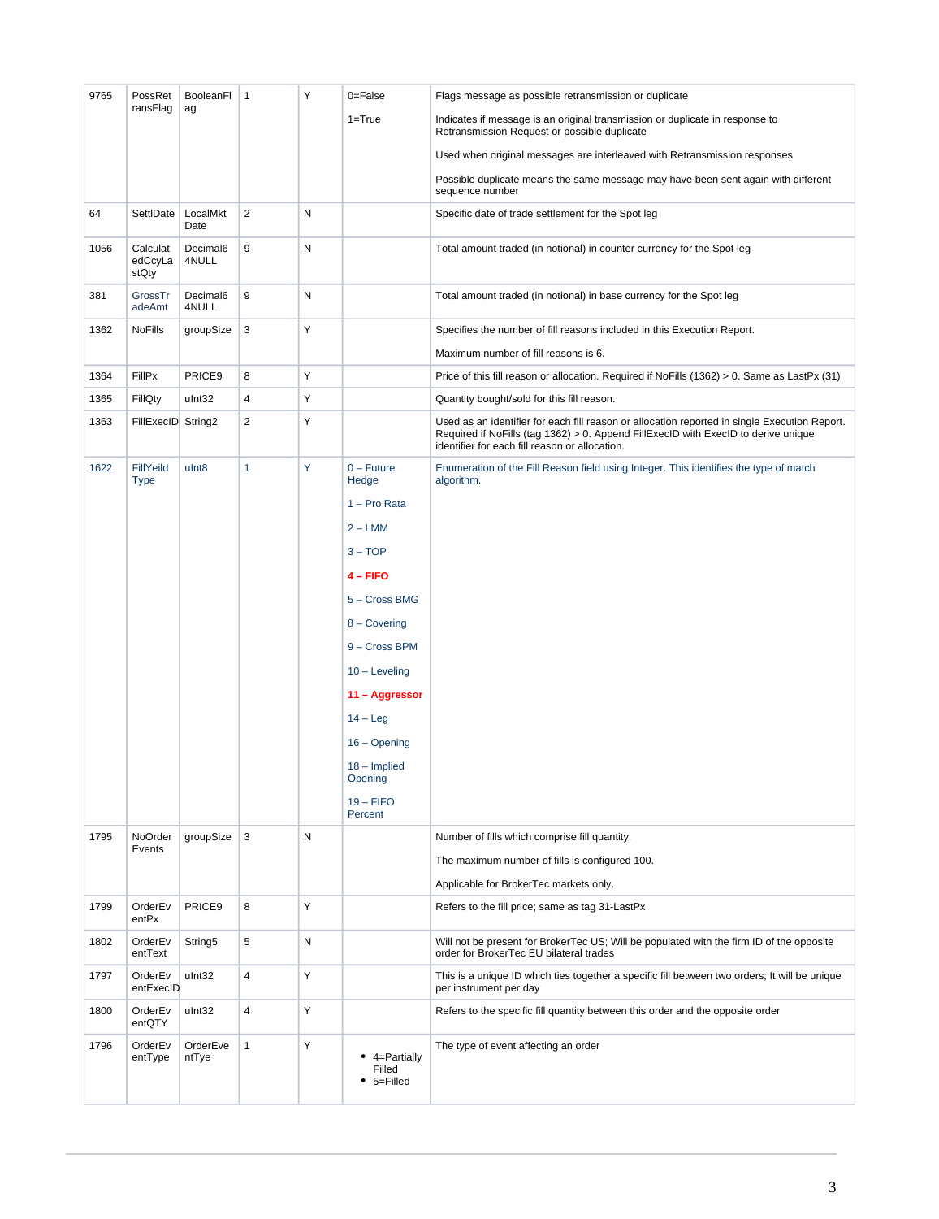| 9765 | PossRet                         | BooleanFI           | $\mathbf{1}$            | Y | 0=False                                           | Flags message as possible retransmission or duplicate                                                                                                                                                                                 |
|------|---------------------------------|---------------------|-------------------------|---|---------------------------------------------------|---------------------------------------------------------------------------------------------------------------------------------------------------------------------------------------------------------------------------------------|
|      | ransFlag                        | ag                  |                         |   | $1 = True$                                        | Indicates if message is an original transmission or duplicate in response to<br>Retransmission Request or possible duplicate                                                                                                          |
|      |                                 |                     |                         |   |                                                   | Used when original messages are interleaved with Retransmission responses                                                                                                                                                             |
|      |                                 |                     |                         |   |                                                   | Possible duplicate means the same message may have been sent again with different<br>sequence number                                                                                                                                  |
| 64   | SettlDate                       | LocalMkt<br>Date    | $\overline{c}$          | N |                                                   | Specific date of trade settlement for the Spot leg                                                                                                                                                                                    |
| 1056 | Calculat<br>edCcyLa<br>stQty    | Decimal6<br>4NULL   | 9                       | N |                                                   | Total amount traded (in notional) in counter currency for the Spot leg                                                                                                                                                                |
| 381  | GrossTr<br>adeAmt               | Decimal6<br>4NULL   | 9                       | N |                                                   | Total amount traded (in notional) in base currency for the Spot leg                                                                                                                                                                   |
| 1362 | <b>NoFills</b>                  | groupSize           | 3                       | Υ |                                                   | Specifies the number of fill reasons included in this Execution Report.                                                                                                                                                               |
|      |                                 |                     |                         |   |                                                   | Maximum number of fill reasons is 6.                                                                                                                                                                                                  |
| 1364 | <b>FillPx</b>                   | PRICE9              | 8                       | Υ |                                                   | Price of this fill reason or allocation. Required if NoFills (1362) > 0. Same as LastPx (31)                                                                                                                                          |
| 1365 | FillQty                         | ulnt32              | 4                       | Υ |                                                   | Quantity bought/sold for this fill reason.                                                                                                                                                                                            |
| 1363 | FillExecID String2              |                     | $\overline{c}$          | Υ |                                                   | Used as an identifier for each fill reason or allocation reported in single Execution Report.<br>Required if NoFills (tag 1362) > 0. Append FillExecID with ExecID to derive unique<br>identifier for each fill reason or allocation. |
| 1622 | <b>FillYeild</b><br><b>Type</b> | ulnt <sub>8</sub>   | $\mathbf{1}$            | Y | $0 -$ Future<br>Hedge                             | Enumeration of the Fill Reason field using Integer. This identifies the type of match<br>algorithm.                                                                                                                                   |
|      |                                 |                     |                         |   | $1 - Pro Rata$                                    |                                                                                                                                                                                                                                       |
|      |                                 |                     |                         |   | $2 - LMM$                                         |                                                                                                                                                                                                                                       |
|      |                                 |                     |                         |   | $3 - TOP$                                         |                                                                                                                                                                                                                                       |
|      |                                 |                     |                         |   | 4 - FIFO                                          |                                                                                                                                                                                                                                       |
|      |                                 |                     |                         |   | 5 - Cross BMG                                     |                                                                                                                                                                                                                                       |
|      |                                 |                     |                         |   | 8 - Covering                                      |                                                                                                                                                                                                                                       |
|      |                                 |                     |                         |   | 9 - Cross BPM                                     |                                                                                                                                                                                                                                       |
|      |                                 |                     |                         |   | $10 -$ Leveling                                   |                                                                                                                                                                                                                                       |
|      |                                 |                     |                         |   | 11 - Aggressor                                    |                                                                                                                                                                                                                                       |
|      |                                 |                     |                         |   | $14 - Leg$                                        |                                                                                                                                                                                                                                       |
|      |                                 |                     |                         |   | $16 -$ Opening                                    |                                                                                                                                                                                                                                       |
|      |                                 |                     |                         |   | $18 -$ Implied<br>Opening                         |                                                                                                                                                                                                                                       |
|      |                                 |                     |                         |   | $19 - FIFO$<br>Percent                            |                                                                                                                                                                                                                                       |
| 1795 | NoOrder                         | groupSize           | 3                       | N |                                                   | Number of fills which comprise fill quantity.                                                                                                                                                                                         |
|      | Events                          |                     |                         |   |                                                   | The maximum number of fills is configured 100.                                                                                                                                                                                        |
|      |                                 |                     |                         |   |                                                   | Applicable for BrokerTec markets only.                                                                                                                                                                                                |
| 1799 | OrderEv<br>entPx                | PRICE9              | 8                       | Y |                                                   | Refers to the fill price; same as tag 31-LastPx                                                                                                                                                                                       |
| 1802 | OrderEv<br>entText              | String <sub>5</sub> | 5                       | N |                                                   | Will not be present for BrokerTec US; Will be populated with the firm ID of the opposite<br>order for BrokerTec EU bilateral trades                                                                                                   |
| 1797 | OrderEv<br>entExecID            | ulnt32              | $\overline{\mathbf{4}}$ | Y |                                                   | This is a unique ID which ties together a specific fill between two orders; It will be unique<br>per instrument per day                                                                                                               |
| 1800 | OrderEv<br>entQTY               | ulnt32              | $\overline{\mathbf{4}}$ | Y |                                                   | Refers to the specific fill quantity between this order and the opposite order                                                                                                                                                        |
| 1796 | OrderEv<br>entType              | OrderEve<br>ntTye   | $\mathbf{1}$            | Y | $\bullet$ 4=Partially<br>Filled<br>$• 5 =$ Filled | The type of event affecting an order                                                                                                                                                                                                  |